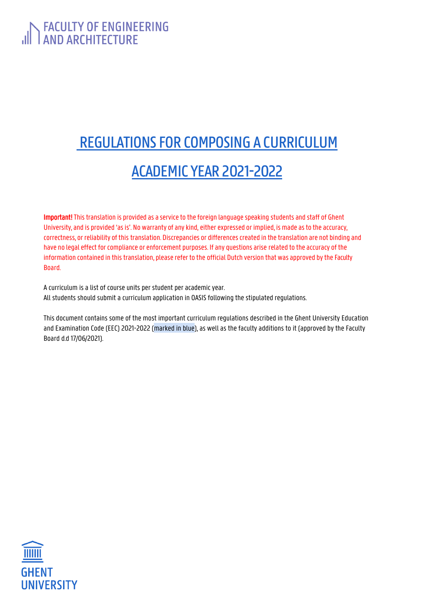# FACULTY OF ENGINEERING

# REGULATIONS FOR COMPOSING A CURRICULUM ACADEMIC YEAR 2021-2022

Important! This translation is provided as a service to the foreign language speaking students and staff of Ghent University, and is provided 'as is'. No warranty of any kind, either expressed or implied, is made as to the accuracy, correctness, or reliability of this translation. Discrepancies or differencescreated in the translation are not binding and have no legal effect for compliance or enforcement purposes. If any questions arise related to the accuracy of the information contained in thistranslation, please refer to the official Dutch version that was approved bythe Faculty Board.

A curriculum is a list of course units per student per academic year. All students should submit a curriculum application in OASIS following the stipulated regulations.

This document contains some of the most important curriculum regulations described in the Ghent University Education and Examination Code (EEC) 2021-2022 (marked in blue), as well as the faculty additions to it (approved by the Faculty Board d.d 17/06/2021).

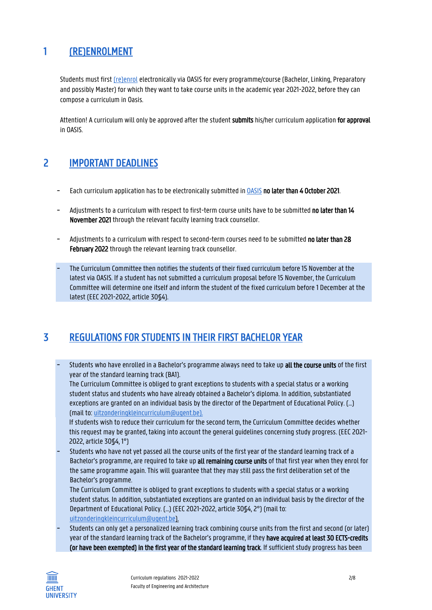# 1 (RE)ENROLMENT

Students must firs[t \(re\)enrol](https://www.ugent.be/prospect/en/administration/enrolment-or-registration) electronically via OASIS for every programme/course (Bachelor, Linking, Preparatory and possibly Master) for which they want to take course units in the academic year 2021-2022, before they can compose a curriculum in Oasis.

Attention! A curriculum will only be approved after the student submits his/her curriculum application for approval in OASIS.

## 2 IMPORTANT DEADLINES

- Each curriculum application has to be electronically submitted in [OASIS](http://oasis.ugent.be/) no later than 4 October 2021.
- Adjustments to a curriculum with respect to first-term course units have to be submitted no later than 14 November 2021 through the relevant faculty learning track counsellor.
- Adjustments to a curriculum with respect to second-term courses need to be submitted no later than 28 February 2022 through the relevant learning track counsellor.
- The Curriculum Committee then notifies the students of their fixed curriculum before 15 November at the latest via OASIS. If a student has not submitted a curriculum proposal before 15 November, the Curriculum Committee will determine one itself and inform the student of the fixed curriculum before 1 December at the latest (EEC 2021-2022, article 30§4).

# 3 REGULATIONS FOR STUDENTS IN THEIR FIRST BACHELOR YEAR

Students who have enrolled in a Bachelor's programme always need to take up all the course units of the first year of the standard learning track (BA1).

The Curriculum Committee is obliged to grant exceptions to students with a special status or a working student status and students who have already obtained a Bachelor's diploma. In addition, substantiated exceptions are granted on an individual basis by the director of the Department of Educational Policy. (…) (mail to[: uitzonderingkleincurriculum@ugent.be\)](mailto:uitzonderingkleincurriculum@ugent.be).

If students wish to reduce their curriculum for the second term, the Curriculum Committee decides whether this request may be granted, taking into account the general guidelines concerning study progress. (EEC 2021- 2022, article 30§4, 1°)

- Students who have not yet passed all the course units of the first year of the standard learning track of a Bachelor's programme, are required to take up all remaining course units of that first year when they enrol for the same programme again.This will guarantee that they may still pass the first deliberation set of the Bachelor's programme.

The Curriculum Committee is obliged to grant exceptions to students with a special status or a working student status. In addition, substantiated exceptions are granted on an individual basis by the director of the Department of Educational Policy. (…) (EEC 2021-2022, article 30§4, 2°) (mail to: [uitzonderingkleincurriculum@ugent.be\)](mailto:uitzonderingkleincurriculum@ugent.be).

- Students can only get a personalized learning track combining course units from the first and second (or later) year of the standard learning track of the Bachelor's programme, if they have acquired at least 30 ECTS-credits (or have been exempted) in the first year of the standard learning track. If sufficient study progress has been

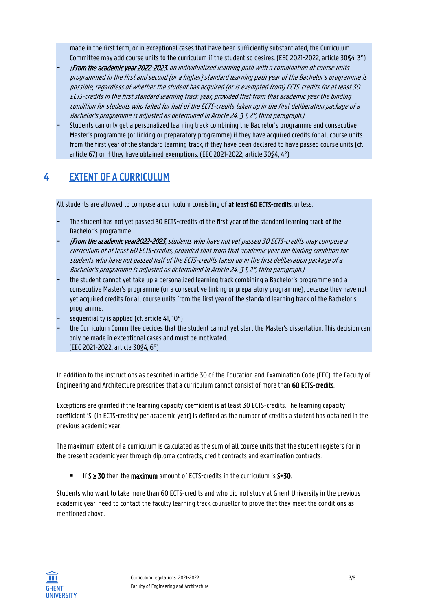made in the first term, or in exceptional cases that have been sufficiently substantiated, the Curriculum Committee may add course units to the curriculum if the student so desires. (EEC 2021-2022, article 30§4, 3°)

- [From the academic year 2022-2023, an individualized learning path with a combination of course units programmed in the first and second (or a higher) standard learning path year of the Bachelor's programme is possible, regardless of whether the student has acquired (or is exempted from) ECTS-credits for at least 30 ECTS-credits in the first standard learning track year, provided that from that academic year the binding condition for students who failed for half of the ECTS-credits taken up in the first deliberation package of a Bachelor's programme is adjusted as determined in Article 24, § 1, 2°, third paragraph.]
- Students can only get a personalized learning track combining the Bachelor's programme and consecutive Master's programme (or linking or preparatory programme) if they have acquired credits for all course units from the first year of the standard learning track, if they have been declared to have passed course units (cf. article 67) or if they have obtained exemptions. (EEC 2021-2022, article 30§4, 4°)

# 4 EXTENT OF A CURRICULUM

All students are allowed to compose a curriculum consisting of at least 60 ECTS-credits, unless:

- The student has not yet passed 30 ECTS-credits of the first year of the standard learning track of the Bachelor's programme.
- [From the academic year2022-2023, students who have not yet passed 30 ECTS-credits may compose a curriculum of at least 60 ECTS-credits, provided that from that academic year the binding condition for students who have not passed half of the ECTS-credits taken up in the first deliberation package of a Bachelor's programme is adjusted as determined in Article 24, § 1, 2°, third paragraph.]
- the student cannot yet take up a personalized learning track combining a Bachelor's programme and a consecutive Master's programme (or a consecutive linking or preparatory programme), because they have not yet acquired credits for all course units from the first year of the standard learning track of the Bachelor's programme.
- sequentiality is applied (cf. article 41, 10°)
- the Curriculum Committee decides that the student cannot yet start the Master's dissertation. This decision can only be made in exceptional cases and must be motivated. (EEC 2021-2022, article 30§4, 6°)

In addition to the instructions as described in article 30 of the Education and Examination Code (EEC), the Faculty of Engineering and Architecture prescribes that a curriculum cannot consist of more than 60 ECTS-credits.

Exceptions are granted if the learning capacity coefficient is at least 30 ECTS-credits. The learning capacity coefficient 'S' (in ECTS-credits/ per academic year) is defined as the number of credits a student has obtained in the previous academic year.

The maximum extent of a curriculum is calculated as the sum of all course units that the student registers for in the present academic year through diploma contracts, credit contracts and examination contracts.

■ If S  $\geq$  30 then the maximum amount of ECTS-credits in the curriculum is S+30.

Students who want to take more than 60 ECTS-credits and who did not study at Ghent University in the previous academic year, need to contact the faculty learning track counsellor to prove that they meet the conditions as mentioned above.

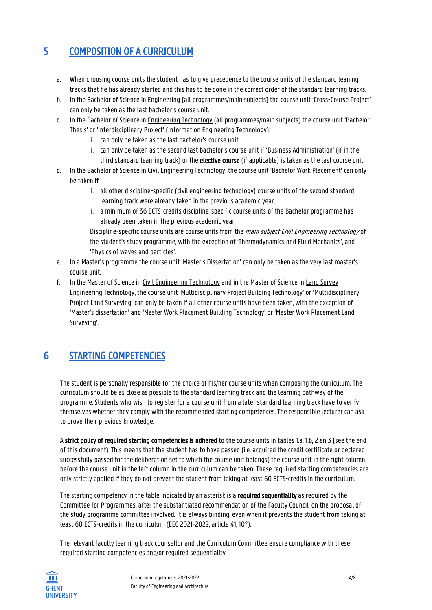# 5 COMPOSITION OF A CURRICULUM

- a. When choosing course units the student has to give precedence to the course units of the standard leaning tracks that he has already started and this has to be done in the correct order of the standard learning tracks.
- b. In the Bachelor of Science in Engineering (all programmes/main subjects) the course unit 'Cross-Course Project' can only be taken as the last bachelor's course unit.
- c. In the Bachelor of Science in Engineering Technology (all programmes/main subjects) the course unit 'Bachelor Thesis' or 'Interdisciplinary Project' (Information Engineering Technology):
	- i. can only be taken as the last bachelor's course unit
	- ii. can only be taken as the second last bachelor's course unit if 'Business Administration' (if in the third standard learning track) or the **elective course** (if applicable) is taken as the last course unit.
- d. In the Bachelor of Science in Civil Engineering Technology, the course unit 'Bachelor Work Placement' can only be taken if
	- i. all other discipline-specific (civil engineering technology) course units of the second standard learning track were already taken in the previous academic year.
	- ii. a minimum of 36 ECTS-credits discipline-specific course units of the Bachelor programme has already been taken in the previous academic year.

Discipline-specific course units are course units from the *main subject Civil Engineering Technology* of the student's study programme, with the exception of 'Thermodynamics and Fluid Mechanics', and 'Physics of waves and particles'.

- e. In a Master's programme the course unit 'Master's Dissertation' can only be taken as the very last master's course unit.
- f. In the Master of Science in Civil Engineering Technology and in the Master of Science in Land Survey Engineering Technology, the course unit 'Multidisciplinary Project Building Technology' or 'Multidisciplinary Project Land Surveying' can only be taken if all other course units have been taken, with the exception of 'Master's dissertation' and 'Master Work Placement Building Technology' or 'Master Work Placement Land Surveying'.

# 6 STARTING COMPETENCIES

The student is personally responsible for the choice of his/her course units when composing the curriculum. The curriculum should be as close as possible to the standard learning track and the learning pathway of the programme. Students who wish to register for a course unit from a later standard learning track have to verify themselves whether they comply with the recommended starting competences. The responsible lecturer can ask to prove their previous knowledge.

A strict policy of required starting competencies is adhered to the course units in tables 1.a, 1.b, 2 en 3 (see the end of this document). This means that the student has to have passed (i.e. acquired the credit certificate or declared successfully passed for the deliberation set to which the course unit belongs) the course unit in the right column before the course unit in the left column in the curriculum can be taken. These required starting competencies are only strictly applied if they do not prevent the student from taking at least 60 ECTS-credits in the curriculum.

The starting competency in the table indicated by an asterisk is a required sequentiality as required by the Committee for Programmes, after the substantiated recommendation of the Faculty Council, on the proposal of the study programme committee involved. It is always binding, even when it prevents the student from taking at least 60 ECTS-credits in the curriculum (EEC 2021-2022, article 41, 10°).

The relevant faculty learning track counsellor and the Curriculum Committee ensure compliance with these required starting competencies and/or required sequentiality.

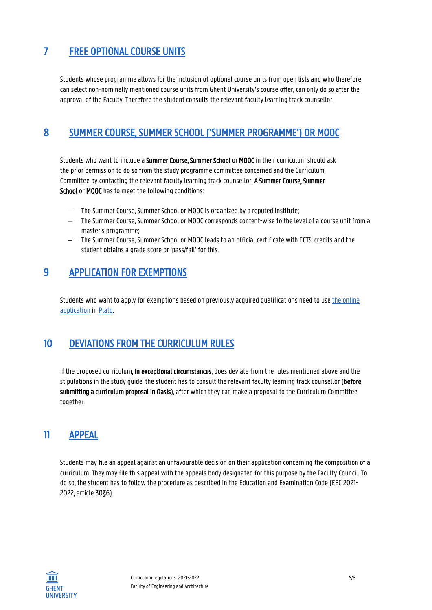# 7 FREE OPTIONAL COURSE UNITS

Students whose programme allows for the inclusion of optional course units from open lists and who therefore can select non-nominally mentioned course units from Ghent University's course offer, can only do so after the approval of the Faculty. Therefore the student consults the relevant faculty learning track counsellor.

## 8 SUMMER COURSE, SUMMER SCHOOL ('SUMMER PROGRAMME') OR MOOC

Students who want to include a Summer Course, Summer School or MOOC in their curriculum should ask the prior permission to do so from the study programme committee concerned and the Curriculum Committee by contacting the relevant faculty learning track counsellor. A Summer Course, Summer School or MOOC has to meet the following conditions:

- The Summer Course, Summer School or MOOC is organized by a reputed institute;
- The Summer Course, Summer School or MOOC corresponds content-wise to the level of a course unit from a master's programme;
- − The Summer Course, Summer School or MOOC leads to an official certificate with ECTS-credits and the student obtains a grade score or 'pass/fail' for this.

### 9 APPLICATION FOR EXEMPTIONS

Students who want to apply for exemptions based on previously acquired qualifications need to use [the online](https://www.ugent.be/ea/en/for-degree-students/your-studies-in-ghent/paq.htm)  [application](https://www.ugent.be/ea/en/for-degree-students/your-studies-in-ghent/paq.htm) in [Plato.](http://plato.fea.ugent.be/)

# 10 DEVIATIONS FROM THE CURRICULUM RULES

If the proposed curriculum, in exceptional circumstances, does deviate from the rules mentioned above and the stipulations in the study guide, the student has to consult the relevant faculty learning track counsellor (before submitting a curriculum proposal in Oasis), after which they can make a proposal to the Curriculum Committee together.

# 11 APPEAL

Students may file an appeal against an unfavourable decision on their application concerning the composition of a curriculum. They may file this appeal with the appeals body designated for this purpose by the Faculty Council. To do so, the student has to follow the procedure as described in the Education and Examination Code (EEC 2021- 2022, article 30§6).

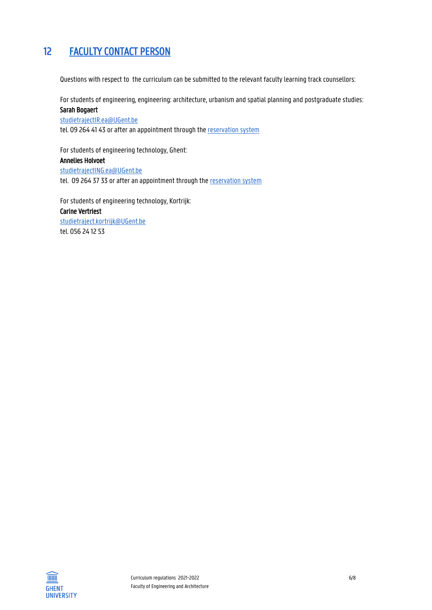# 12 FACULTY CONTACT PERSON

Questions with respect to the curriculum can be submitted to the relevant faculty learning track counsellors:

For students of engineering, engineering: architecture, urbanism and spatial planning and postgraduate studies:

### Sarah Bogaert [studietrajectIR.ea@UGent.be](mailto:studietrajectplateau.ea@UGent.be)

tel. 09 264 41 43 or after an appointment through th[e reservation system](http://www.monitoraatfea.ugent.be/)

For students of engineering technology, Ghent: Annelies Holvoet [studietrajectING.ea@UGent.be](mailto:studietrajectING.ea@UGent.be) tel. 09 264 37 33 or after an appointment through th[e reservation system](http://www.monitoraatfea.ugent.be/)

For students of engineering technology, Kortrijk: Carine Vertriest [studietraject.kortrijk@UGent.be](mailto:studietraject.kortrijk@UGent.be) tel. 056 24 12 53

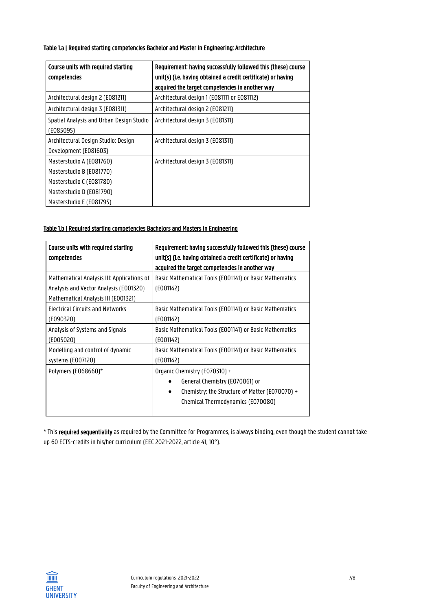#### Table 1.a | Required starting competencies Bachelor and Master in Engineering: Architecture

| Course units with required starting<br>competencies          | Requirement: having successfully followed this (these) course<br>unit(s) (i.e. having obtained a credit certificate) or having<br>acquired the target competencies in another way |
|--------------------------------------------------------------|-----------------------------------------------------------------------------------------------------------------------------------------------------------------------------------|
| Architectural design 2 (E081211)                             | Architectural design 1 (E081111 or E081112)                                                                                                                                       |
| Architectural design 3 (E081311)                             | Architectural design 2 (E081211)                                                                                                                                                  |
| Spatial Analysis and Urban Design Studio<br>(E085095)        | Architectural design 3 (E081311)                                                                                                                                                  |
| Architectural Design Studio: Design<br>Development (E081603) | Architectural design 3 (E081311)                                                                                                                                                  |
| Masterstudio A (E081760)                                     | Architectural design 3 (E081311)                                                                                                                                                  |
| Masterstudio B (E081770)                                     |                                                                                                                                                                                   |
| Masterstudio C (E081780)                                     |                                                                                                                                                                                   |
| Masterstudio D (E081790)                                     |                                                                                                                                                                                   |
| Masterstudio E (E081795)                                     |                                                                                                                                                                                   |

#### Table 1.b | Required starting competencies Bachelors and Masters in Engineering

| Course units with required starting<br>competencies                                                                         | Requirement: having successfully followed this (these) course<br>unit(s) (i.e. having obtained a credit certificate) or having<br>acquired the target competencies in another way |
|-----------------------------------------------------------------------------------------------------------------------------|-----------------------------------------------------------------------------------------------------------------------------------------------------------------------------------|
| Mathematical Analysis III: Applications of<br>Analysis and Vector Analysis (E001320)<br>Mathematical Analysis III (E001321) | Basic Mathematical Tools (E001141) or Basic Mathematics<br>(E001142)                                                                                                              |
| Electrical Circuits and Networks                                                                                            | Basic Mathematical Tools (E001141) or Basic Mathematics                                                                                                                           |
| (E090320)                                                                                                                   | (E001142)                                                                                                                                                                         |
| Analysis of Systems and Signals                                                                                             | Basic Mathematical Tools (E001141) or Basic Mathematics                                                                                                                           |
| ( E005020)                                                                                                                  | (E001142)                                                                                                                                                                         |
| Modelling and control of dynamic                                                                                            | Basic Mathematical Tools (E001141) or Basic Mathematics                                                                                                                           |
| systems (E007120)                                                                                                           | (E001142)                                                                                                                                                                         |
| Polymers (E068660)*                                                                                                         | Organic Chemistry (E070310) +<br>General Chemistry (E070061) or<br>Chemistry: the Structure of Matter (E070070) +<br>$\bullet$<br>Chemical Thermodynamics (E070080)               |

\* This required sequentiality as required by the Committee for Programmes, is always binding, even though the student cannot take up 60 ECTS-credits in his/her curriculum (EEC 2021-2022, article 41, 10°).